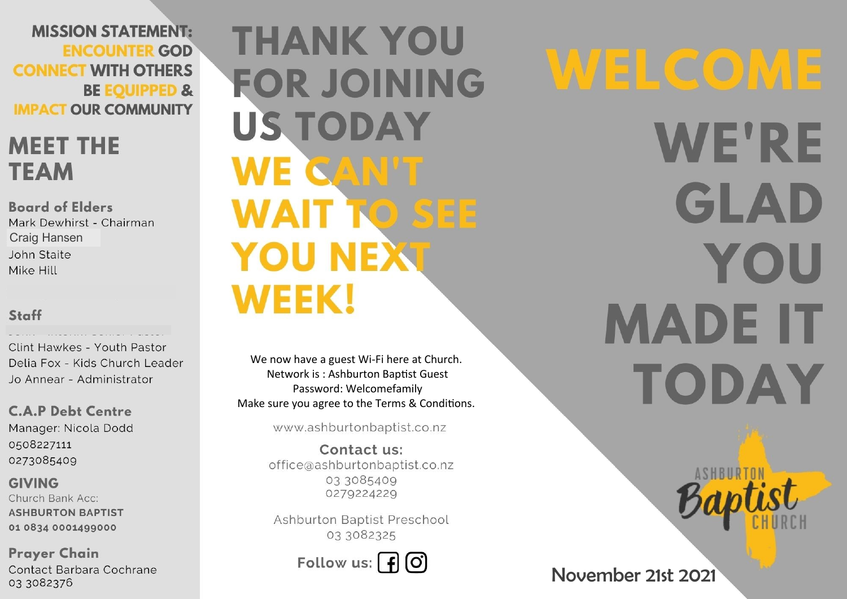**MISSION STATEMENT: ENCOUNTER GOD CONNECT WITH OTHERS BE EQUIPPED & IMPACT OUR COMMUNITY** 

## **MEET THE TEAM**

**Board of Elders** Mark Dewhirst - Chairman **Craig Hansen** John Staite Mike Hill

#### Staff

Clint Hawkes - Youth Pastor Delia Fox - Kids Church Leader Jo Annear - Administrator

**C.A.P Debt Centre** Manager: Nicola Dodd 0508227111 0273085409

**GIVING** Church Bank Acc: **ASHBURTON BAPTIST** 01 0834 0001499000

**Prayer Chain** Contact Barbara Cochrane 03 3082376

**THANK YOU FOR JOINING US TODAY** WE CAN'T **WAIT TO SEE YOU NEXT WEEK!** 

We now have a guest Wi-Fi here at Church. Network is: Ashburton Baptist Guest Password: Welcomefamily Make sure you agree to the Terms & Conditions.

www.ashburtonbaptist.co.nz

Contact us: office@ashburtonbaptist.co.nz 03 3085409 0279224229

Ashburton Baptist Preschool 03 3082325

Follow us:  $\int f(x)$ 

WELCOME **WE'RE** GLAD YOU **MADE IT** TODAY

November 21st 2021